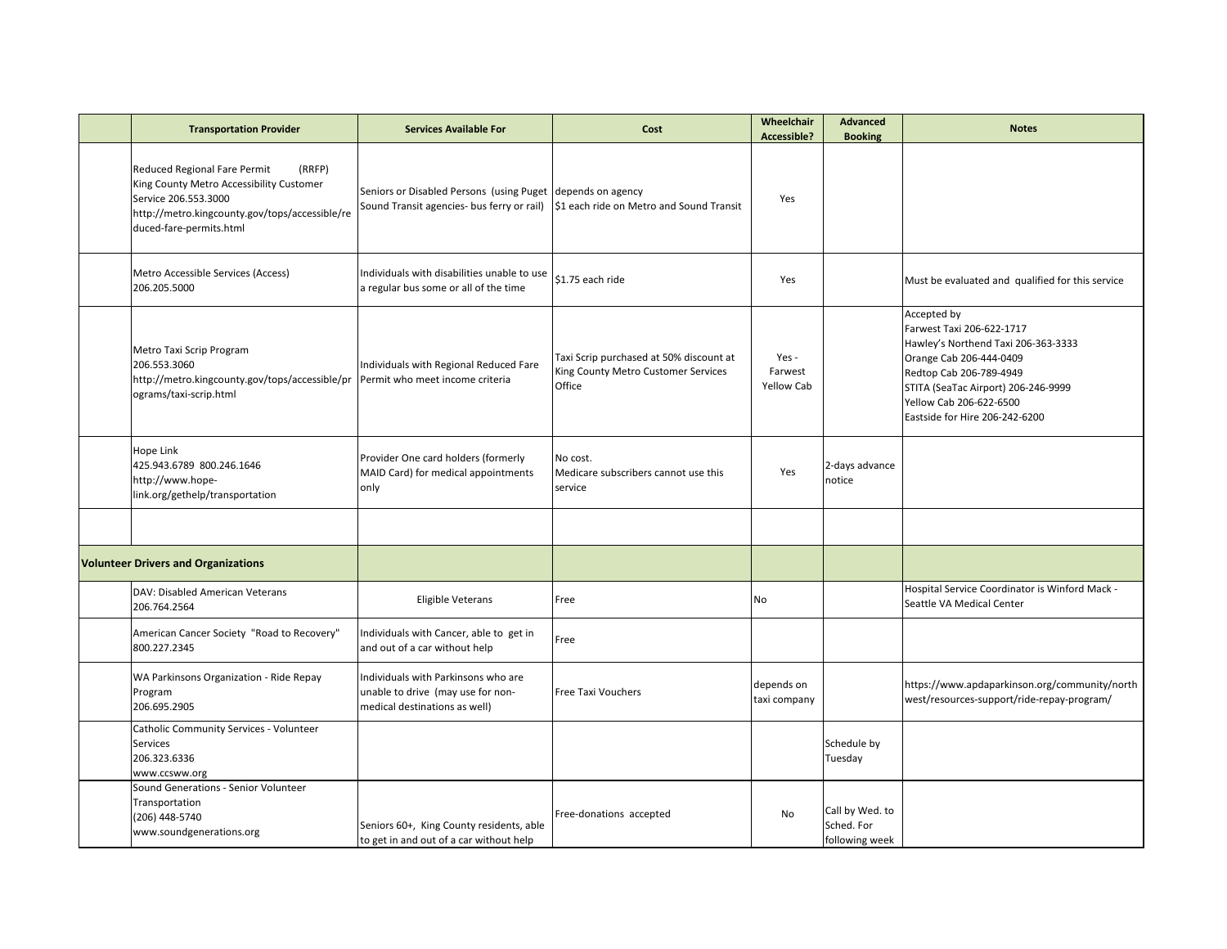| <b>Transportation Provider</b>                                                                                                                                                          | <b>Services Available For</b>                                                                             | Cost                                                                                     | Wheelchair<br><b>Accessible?</b> | <b>Advanced</b><br><b>Booking</b>               | <b>Notes</b>                                                                                                                                                                                                                              |
|-----------------------------------------------------------------------------------------------------------------------------------------------------------------------------------------|-----------------------------------------------------------------------------------------------------------|------------------------------------------------------------------------------------------|----------------------------------|-------------------------------------------------|-------------------------------------------------------------------------------------------------------------------------------------------------------------------------------------------------------------------------------------------|
| Reduced Regional Fare Permit<br>(RRFP)<br>King County Metro Accessibility Customer<br>Service 206.553.3000<br>http://metro.kingcounty.gov/tops/accessible/re<br>duced-fare-permits.html | Seniors or Disabled Persons (using Puget depends on agency<br>Sound Transit agencies- bus ferry or rail)  | \$1 each ride on Metro and Sound Transit                                                 | Yes                              |                                                 |                                                                                                                                                                                                                                           |
| Metro Accessible Services (Access)<br>206.205.5000                                                                                                                                      | Individuals with disabilities unable to use<br>a regular bus some or all of the time                      | \$1.75 each ride                                                                         | Yes                              |                                                 | Must be evaluated and qualified for this service                                                                                                                                                                                          |
| Metro Taxi Scrip Program<br>206.553.3060<br>http://metro.kingcounty.gov/tops/accessible/pr<br>ograms/taxi-scrip.html                                                                    | ndividuals with Regional Reduced Fare<br>Permit who meet income criteria                                  | Taxi Scrip purchased at 50% discount at<br>King County Metro Customer Services<br>Office | Yes -<br>Farwest<br>Yellow Cab   |                                                 | Accepted by<br>Farwest Taxi 206-622-1717<br>Hawley's Northend Taxi 206-363-3333<br>Orange Cab 206-444-0409<br>Redtop Cab 206-789-4949<br>STITA (SeaTac Airport) 206-246-9999<br>Yellow Cab 206-622-6500<br>Eastside for Hire 206-242-6200 |
| Hope Link<br>425.943.6789 800.246.1646<br>http://www.hope-<br>link.org/gethelp/transportation                                                                                           | Provider One card holders (formerly<br>MAID Card) for medical appointments<br>only                        | No cost.<br>Medicare subscribers cannot use this<br>service                              | Yes                              | 2-days advance<br>notice                        |                                                                                                                                                                                                                                           |
|                                                                                                                                                                                         |                                                                                                           |                                                                                          |                                  |                                                 |                                                                                                                                                                                                                                           |
| <b>Volunteer Drivers and Organizations</b>                                                                                                                                              |                                                                                                           |                                                                                          |                                  |                                                 |                                                                                                                                                                                                                                           |
| DAV: Disabled American Veterans<br>206.764.2564                                                                                                                                         | <b>Eligible Veterans</b>                                                                                  | Free                                                                                     | No                               |                                                 | Hospital Service Coordinator is Winford Mack -<br>Seattle VA Medical Center                                                                                                                                                               |
| American Cancer Society "Road to Recovery"<br>800.227.2345                                                                                                                              | Individuals with Cancer, able to get in<br>and out of a car without help                                  | Free                                                                                     |                                  |                                                 |                                                                                                                                                                                                                                           |
| WA Parkinsons Organization - Ride Repay<br>Program<br>206.695.2905                                                                                                                      | Individuals with Parkinsons who are<br>unable to drive (may use for non-<br>medical destinations as well) | Free Taxi Vouchers                                                                       | depends on<br>taxi company       |                                                 | https://www.apdaparkinson.org/community/north<br>west/resources-support/ride-repay-program/                                                                                                                                               |
| Catholic Community Services - Volunteer<br>Services<br>206.323.6336<br>www.ccsww.org                                                                                                    |                                                                                                           |                                                                                          |                                  | Schedule by<br>Tuesday                          |                                                                                                                                                                                                                                           |
| Sound Generations - Senior Volunteer<br>Transportation<br>(206) 448-5740<br>www.soundgenerations.org                                                                                    | Seniors 60+, King County residents, able<br>to get in and out of a car without help                       | Free-donations accepted                                                                  | No                               | Call by Wed. to<br>Sched. For<br>following week |                                                                                                                                                                                                                                           |